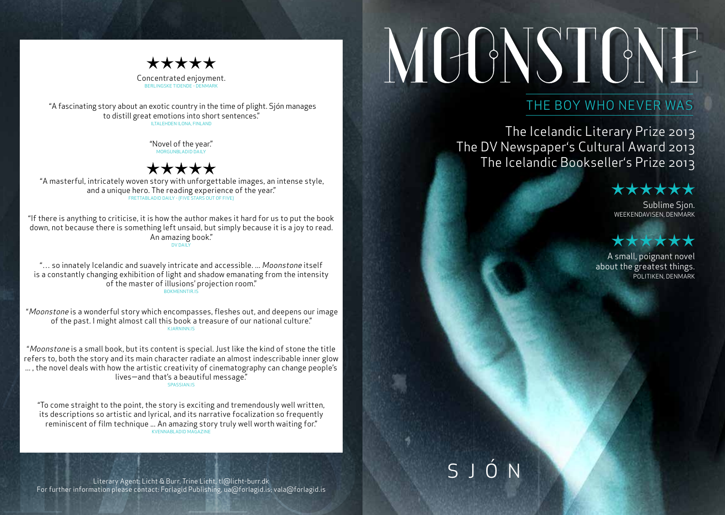

Concentrated enjoyment. BERLINGSKE TIDENDE - DENMARK

 "A fascinating story about an exotic country in the time of plight. Sjón manages to distill great emotions into short sentences." ILTALEHDEN ILONA, FINLAND

> "Novel of the year." MORGUNBLADID DAILY

### \*\*\*\*\*

 "A masterful, intricately woven story with unforgettable images, an intense style, and a unique hero. The reading experience of the year." FRETTABLADID DAILY - (FIVE STARS OUT OF FIVE)

"If there is anything to criticise, it is how the author makes it hard for us to put the book down, not because there is something left unsaid, but simply because it is a joy to read. An amazing book."

"… so innately Icelandic and suavely intricate and accessible. ... Moonstone itself is a constantly changing exhibition of light and shadow emanating from the intensity of the master of illusions' projection room."<br>BOKMENNTIR.IS

 "Moonstone is a wonderful story which encompasses, fleshes out, and deepens our image of the past. I might almost call this book a treasure of our national culture."

"Moonstone is a small book, but its content is special. Just like the kind of stone the title refers to, both the story and its main character radiate an almost indescribable inner glow ... , the novel deals with how the artistic creativity of cinematography can change people's lives—and that's a beautiful message."

"To come straight to the point, the story is exciting and tremendously well written, its descriptions so artistic and lyrical, and its narrative focalization so frequently reminiscent of film technique ... An amazing story truly well worth waiting for."<br>KVENNABLADID MAGAZINE

# MOONSTONE

## THE BOY WHO NEVER WAS

The Icelandic Literary Prize 2013 The DV Newspaper's Cultural Award 2013 The Icelandic Bookseller's Prize 2013

Sublime Sjon. WEEKENDAVISEN, DENMARK

# \*\*\*\*\*\*

A small, poignant novel about the greatest things. POLITIKEN, DENMARK

sjón

Literary Agent: Licht & Burr, Trine Licht, tl@licht-burr.dk For further information please contact: Forlagid Publishing, ua@forlagid.is; vala@forlagid.is